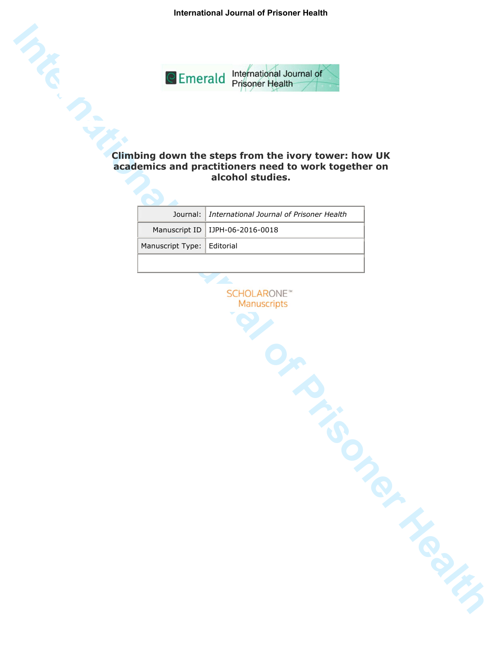**International Journal of Prisoner Health**



# imbing down the steps from the ivory tower: how UK academics and practitioners need to work together on alcohol studies.

| academics and practitioners need to work together on<br>alcohol studies.<br>Journal:<br>International Journal of Prisoner Health<br>Manuscript ID<br>IJPH-06-2016-0018<br>Manuscript Type:<br>Editorial<br><b>SCHOLARONE</b> <sup>*</sup><br>Manuscripts<br><b>SON BOOM THIS</b> |  |
|----------------------------------------------------------------------------------------------------------------------------------------------------------------------------------------------------------------------------------------------------------------------------------|--|
|                                                                                                                                                                                                                                                                                  |  |
|                                                                                                                                                                                                                                                                                  |  |
|                                                                                                                                                                                                                                                                                  |  |
|                                                                                                                                                                                                                                                                                  |  |
|                                                                                                                                                                                                                                                                                  |  |
|                                                                                                                                                                                                                                                                                  |  |
|                                                                                                                                                                                                                                                                                  |  |
|                                                                                                                                                                                                                                                                                  |  |
|                                                                                                                                                                                                                                                                                  |  |
|                                                                                                                                                                                                                                                                                  |  |
|                                                                                                                                                                                                                                                                                  |  |
|                                                                                                                                                                                                                                                                                  |  |
|                                                                                                                                                                                                                                                                                  |  |
|                                                                                                                                                                                                                                                                                  |  |
|                                                                                                                                                                                                                                                                                  |  |
|                                                                                                                                                                                                                                                                                  |  |
|                                                                                                                                                                                                                                                                                  |  |
|                                                                                                                                                                                                                                                                                  |  |
|                                                                                                                                                                                                                                                                                  |  |
|                                                                                                                                                                                                                                                                                  |  |
|                                                                                                                                                                                                                                                                                  |  |

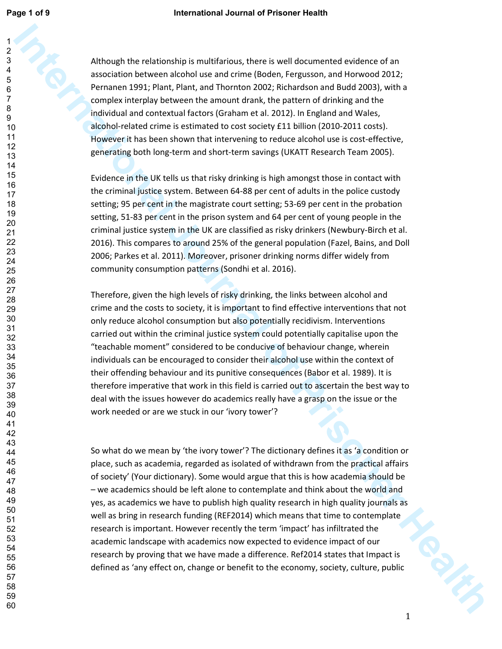Although the relationship is multifarious, there is well documented evidence of an association between alcohol use and crime (Boden, Fergusson, and Horwood 2012; Pernanen 1991; Plant, Plant, and Thornton 2002; Richardson and Budd 2003), with a complex interplay between the amount drank, the pattern of drinking and the individual and contextual factors (Graham et al. 2012). In England and Wales, alcohol-related crime is estimated to cost society £11 billion (2010-2011 costs). However it has been shown that intervening to reduce alcohol use is cost-effective, generating both long-term and short-term savings (UKATT Research Team 2005).

Evidence in the UK tells us that risky drinking is high amongst those in contact with the criminal justice system. Between 64-88 per cent of adults in the police custody setting; 95 per cent in the magistrate court setting; 53-69 per cent in the probation setting, 51-83 per cent in the prison system and 64 per cent of young people in the criminal justice system in the UK are classified as risky drinkers (Newbury-Birch et al. 2016). This compares to around 25% of the general population (Fazel, Bains, and Doll 2006; Parkes et al. 2011). Moreover, prisoner drinking norms differ widely from community consumption patterns (Sondhi et al. 2016).

Therefore, given the high levels of risky drinking, the links between alcohol and crime and the costs to society, it is important to find effective interventions that not only reduce alcohol consumption but also potentially recidivism. Interventions carried out within the criminal justice system could potentially capitalise upon the "teachable moment" considered to be conducive of behaviour change, wherein individuals can be encouraged to consider their alcohol use within the context of their offending behaviour and its punitive consequences (Babor et al. 1989). It is therefore imperative that work in this field is carried out to ascertain the best way to deal with the issues however do academics really have a grasp on the issue or the work needed or are we stuck in our 'ivory tower'?

**International distribution** is a multiproxis, there is overfidention as the conserved of a statistical of Prisoner Mathematics (2012), where the conserved of Prisoner Mathematics (2013), where the conserved of Prisoner Ma So what do we mean by 'the ivory tower'? The dictionary defines it as 'a condition or place, such as academia, regarded as isolated of withdrawn from the practical affairs of society' (Your dictionary). Some would argue that this is how academia should be – we academics should be left alone to contemplate and think about the world and yes, as academics we have to publish high quality research in high quality journals as well as bring in research funding (REF2014) which means that time to contemplate research is important. However recently the term 'impact' has infiltrated the academic landscape with academics now expected to evidence impact of our research by proving that we have made a difference. Ref2014 states that Impact is defined as 'any effect on, change or benefit to the economy, society, culture, public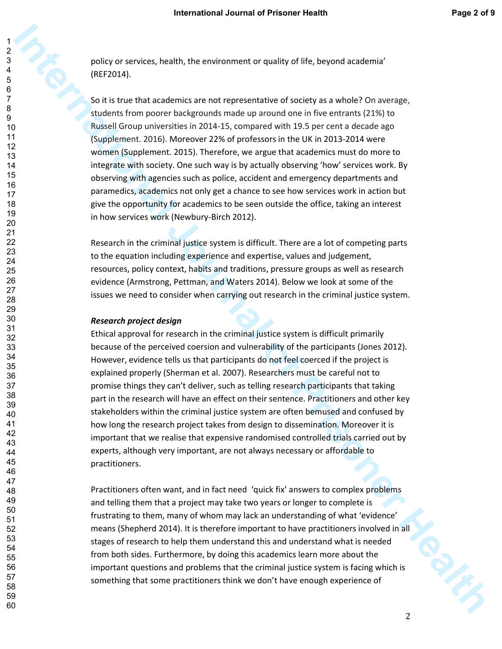policy or services, health, the environment or quality of life, beyond academia' (REF2014).

So it is true that academics are not representative of society as a whole? On average, students from poorer backgrounds made up around one in five entrants (21%) to Russell Group universities in 2014-15, compared with 19.5 per cent a decade ago (Supplement. 2016). Moreover 22% of professors in the UK in 2013-2014 were women (Supplement. 2015). Therefore, we argue that academics must do more to integrate with society. One such way is by actually observing 'how' services work. By observing with agencies such as police, accident and emergency departments and paramedics, academics not only get a chance to see how services work in action but give the opportunity for academics to be seen outside the office, taking an interest in how services work (Newbury-Birch 2012).

Research in the criminal justice system is difficult. There are a lot of competing parts to the equation including experience and expertise, values and judgement, resources, policy context, habits and traditions, pressure groups as well as research evidence (Armstrong, Pettman, and Waters 2014). Below we look at some of the issues we need to consider when carrying out research in the criminal justice system.

#### *Research project design*

policy or services. Leadily, the emicoment or quality of life, beyond academia'<br>(REF2314),<br>So It is two that scale net to be necessarily of concerts and service of the service of the service of the service of the service o Ethical approval for research in the criminal justice system is difficult primarily because of the perceived coersion and vulnerability of the participants (Jones 2012). However, evidence tells us that participants do not feel coerced if the project is explained properly (Sherman et al. 2007). Researchers must be careful not to promise things they can't deliver, such as telling research participants that taking part in the research will have an effect on their sentence. Practitioners and other key stakeholders within the criminal justice system are often bemused and confused by how long the research project takes from design to dissemination. Moreover it is important that we realise that expensive randomised controlled trials carried out by experts, although very important, are not always necessary or affordable to practitioners.

Practitioners often want, and in fact need 'quick fix' answers to complex problems and telling them that a project may take two years or longer to complete is frustrating to them, many of whom may lack an understanding of what 'evidence' means (Shepherd 2014). It is therefore important to have practitioners involved in all stages of research to help them understand this and understand what is needed from both sides. Furthermore, by doing this academics learn more about the important questions and problems that the criminal justice system is facing which is something that some practitioners think we don't have enough experience of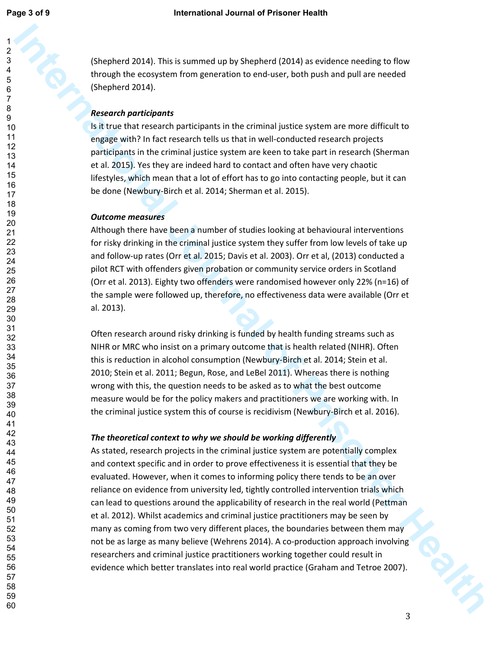(Shepherd 2014). This is summed up by Shepherd (2014) as evidence needing to flow through the ecosystem from generation to end-user, both push and pull are needed (Shepherd 2014).

#### *Research participants*

Is it true that research participants in the criminal justice system are more difficult to engage with? In fact research tells us that in well-conducted research projects participants in the criminal justice system are keen to take part in research (Sherman et al. 2015). Yes they are indeed hard to contact and often have very chaotic lifestyles, which mean that a lot of effort has to go into contacting people, but it can be done (Newbury-Birch et al. 2014; Sherman et al. 2015).

#### *Outcome measures*

Although there have been a number of studies looking at behavioural interventions for risky drinking in the criminal justice system they suffer from low levels of take up and follow-up rates (Orr et al. 2015; Davis et al. 2003). Orr et al, (2013) conducted a pilot RCT with offenders given probation or community service orders in Scotland (Orr et al. 2013). Eighty two offenders were randomised however only 22% (n=16) of the sample were followed up, therefore, no effectiveness data were available (Orr et al. 2013).

Often research around risky drinking is funded by health funding streams such as NIHR or MRC who insist on a primary outcome that is health related (NIHR). Often this is reduction in alcohol consumption (Newbury-Birch et al. 2014; Stein et al. 2010; Stein et al. 2011; Begun, Rose, and LeBel 2011). Whereas there is nothing wrong with this, the question needs to be asked as to what the best outcome measure would be for the policy makers and practitioners we are working with. In the criminal justice system this of course is recidivism (Newbury-Birch et al. 2016).

### *The theoretical context to why we should be working differently*

**ISLaughere: 2014. This is summed us to 5 layies (2014) as evidence menting to low<br>through the constitution from peneration to end-user, both push and pull are necessed<br>(Shaphere 2014).<br><b>Recentre performance** of the const As stated, research projects in the criminal justice system are potentially complex and context specific and in order to prove effectiveness it is essential that they be evaluated. However, when it comes to informing policy there tends to be an over reliance on evidence from university led, tightly controlled intervention trials which can lead to questions around the applicability of research in the real world (Pettman et al. 2012). Whilst academics and criminal justice practitioners may be seen by many as coming from two very different places, the boundaries between them may not be as large as many believe (Wehrens 2014). A co-production approach involving researchers and criminal justice practitioners working together could result in evidence which better translates into real world practice (Graham and Tetroe 2007).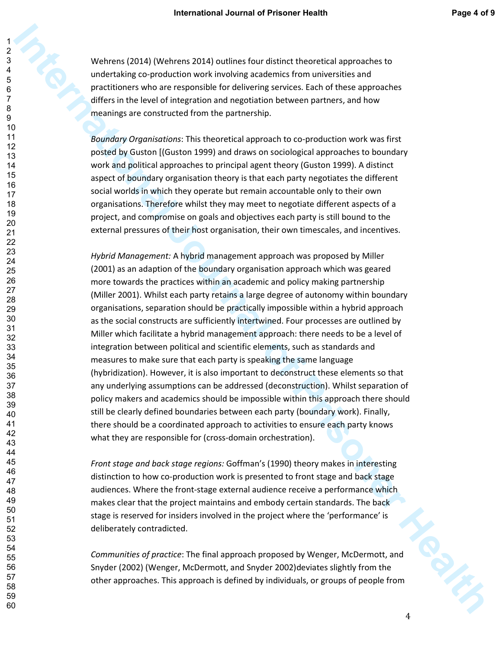Wehrens (2014) (Wehrens 2014) outlines four distinct theoretical approaches to undertaking co-production work involving academics from universities and practitioners who are responsible for delivering services. Each of these approaches differs in the level of integration and negotiation between partners, and how meanings are constructed from the partnership.

*Boundary Organisations*: This theoretical approach to co-production work was first posted by Guston [(Guston 1999) and draws on sociological approaches to boundary work and political approaches to principal agent theory (Guston 1999). A distinct aspect of boundary organisation theory is that each party negotiates the different social worlds in which they operate but remain accountable only to their own organisations. Therefore whilst they may meet to negotiate different aspects of a project, and compromise on goals and objectives each party is still bound to the external pressures of their host organisation, their own timescales, and incentives.

We three 12014 (Weltrena 2014 outlines logar distinct theoretical approaches to<br>ordertaking co-production work involving screen is from universities and<br>practitiones who are responsed for distinctive services. Can ot these *Hybrid Management:* A hybrid management approach was proposed by Miller (2001) as an adaption of the boundary organisation approach which was geared more towards the practices within an academic and policy making partnership (Miller 2001). Whilst each party retains a large degree of autonomy within boundary organisations, separation should be practically impossible within a hybrid approach as the social constructs are sufficiently intertwined. Four processes are outlined by Miller which facilitate a hybrid management approach: there needs to be a level of integration between political and scientific elements, such as standards and measures to make sure that each party is speaking the same language (hybridization). However, it is also important to deconstruct these elements so that any underlying assumptions can be addressed (deconstruction). Whilst separation of policy makers and academics should be impossible within this approach there should still be clearly defined boundaries between each party (boundary work). Finally, there should be a coordinated approach to activities to ensure each party knows what they are responsible for (cross-domain orchestration).

*Front stage and back stage regions:* Goffman's (1990) theory makes in interesting distinction to how co-production work is presented to front stage and back stage audiences. Where the front-stage external audience receive a performance which makes clear that the project maintains and embody certain standards. The back stage is reserved for insiders involved in the project where the 'performance' is deliberately contradicted.

Hambur *Communities of practice*: The final approach proposed by Wenger, McDermott, and Snyder (2002) (Wenger, McDermott, and Snyder 2002)deviates slightly from the other approaches. This approach is defined by individuals, or groups of people from

60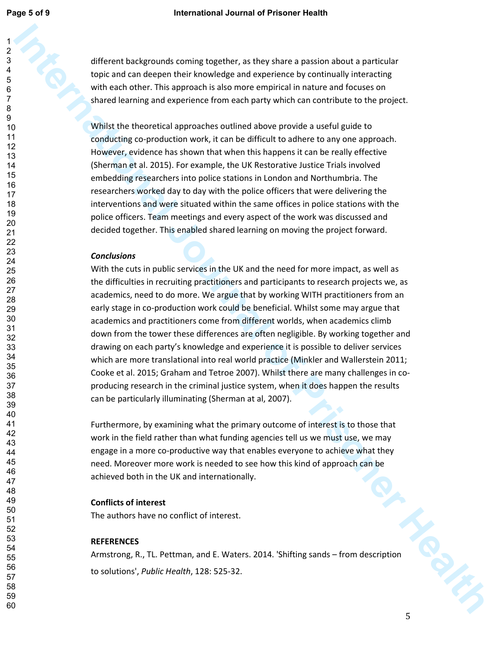different backgrounds coming together, as they share a passion about a particular topic and can deepen their knowledge and experience by continually interacting with each other. This approach is also more empirical in nature and focuses on shared learning and experience from each party which can contribute to the project.

Whilst the theoretical approaches outlined above provide a useful guide to conducting co-production work, it can be difficult to adhere to any one approach. However, evidence has shown that when this happens it can be really effective (Sherman et al. 2015). For example, the UK Restorative Justice Trials involved embedding researchers into police stations in London and Northumbria. The researchers worked day to day with the police officers that were delivering the interventions and were situated within the same offices in police stations with the police officers. Team meetings and every aspect of the work was discussed and decided together. This enabled shared learning on moving the project forward.

## *Conclusions*

**International contine operation and the space of the space of the space of Prisoner Control Control Control Control Control Control Control Control Control Control Control Control Control Control Control Control Control C** With the cuts in public services in the UK and the need for more impact, as well as the difficulties in recruiting practitioners and participants to research projects we, as academics, need to do more. We argue that by working WITH practitioners from an early stage in co-production work could be beneficial. Whilst some may argue that academics and practitioners come from different worlds, when academics climb down from the tower these differences are often negligible. By working together and drawing on each party's knowledge and experience it is possible to deliver services which are more translational into real world practice (Minkler and Wallerstein 2011; Cooke et al. 2015; Graham and Tetroe 2007). Whilst there are many challenges in coproducing research in the criminal justice system, when it does happen the results can be particularly illuminating (Sherman at al, 2007).

 Furthermore, by examining what the primary outcome of interest is to those that work in the field rather than what funding agencies tell us we must use, we may engage in a more co-productive way that enables everyone to achieve what they need. Moreover more work is needed to see how this kind of approach can be achieved both in the UK and internationally.

## **Conflicts of interest**

The authors have no conflict of interest.

## **REFERENCES**

Armstrong, R., TL. Pettman, and E. Waters. 2014. 'Shifting sands – from description to solutions', *Public Health*, 128: 525-32.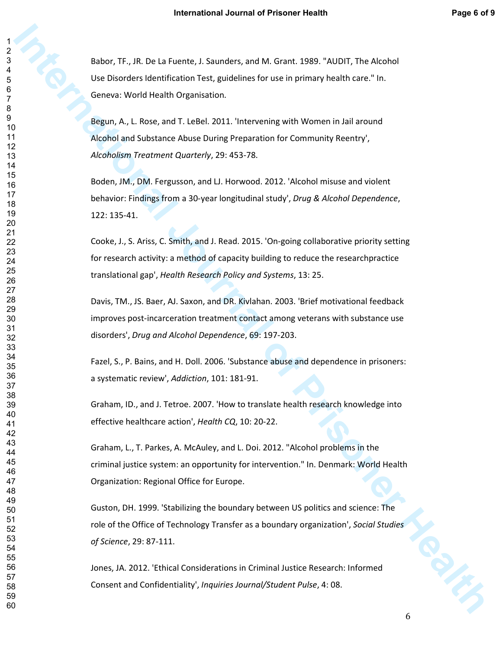Babor, TF., JR. De La Fuente, J. Saunders, and M. Grant. 1989. "AUDIT, The Alcohol Use Disorders Identification Test, guidelines for use in primary health care." In. Geneva: World Health Organisation.

Begun, A., L. Rose, and T. LeBel. 2011. 'Intervening with Women in Jail around Alcohol and Substance Abuse During Preparation for Community Reentry', *Alcoholism Treatment Quarterly*, 29: 453-78.

Boden, JM., DM. Fergusson, and LJ. Horwood. 2012. 'Alcohol misuse and violent behavior: Findings from a 30-year longitudinal study', *Drug & Alcohol Dependence*, 122: 135-41.

**Dubor. TT., 18. De La Francisc, 5 Saunders, and M. Grant 1988: "NUDIT, The Alsohol<br>Une Bloombes Memilitation Test, guidelines for seasin primary health came. The<br>convex Vool Health Test paid the season of Prisoner Health** Cooke, J., S. Ariss, C. Smith, and J. Read. 2015. 'On-going collaborative priority setting for research activity: a method of capacity building to reduce the researchpractice translational gap', *Health Research Policy and Systems*, 13: 25.

Davis, TM., JS. Baer, AJ. Saxon, and DR. Kivlahan. 2003. 'Brief motivational feedback improves post-incarceration treatment contact among veterans with substance use disorders', *Drug and Alcohol Dependence*, 69: 197-203.

Fazel, S., P. Bains, and H. Doll. 2006. 'Substance abuse and dependence in prisoners: a systematic review', *Addiction*, 101: 181-91.

Graham, ID., and J. Tetroe. 2007. 'How to translate health research knowledge into effective healthcare action', *Health CQ*, 10: 20-22.

Graham, L., T. Parkes, A. McAuley, and L. Doi. 2012. "Alcohol problems in the criminal justice system: an opportunity for intervention." In. Denmark: World Health Organization: Regional Office for Europe.

Guston, DH. 1999. 'Stabilizing the boundary between US politics and science: The role of the Office of Technology Transfer as a boundary organization', *Social Studies of Science*, 29: 87-111.

Jones, JA. 2012. 'Ethical Considerations in Criminal Justice Research: Informed Consent and Confidentiality', *Inquiries Journal/Student Pulse*, 4: 08.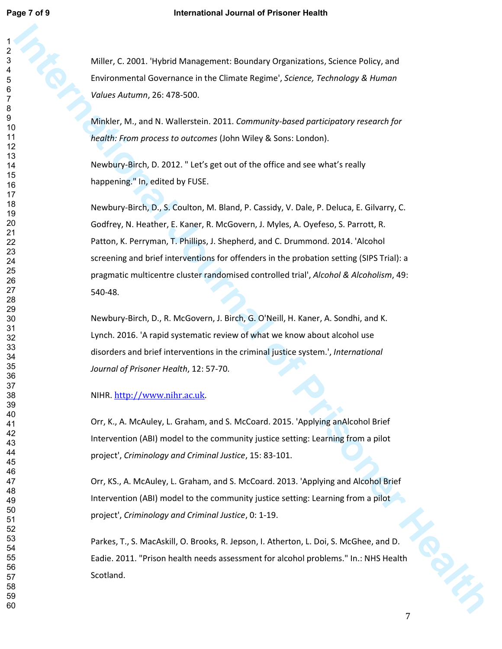Miller, C. 2001. 'Hybrid Management: Boundary Organizations, Science Policy, and Environmental Governance in the Climate Regime', *Science, Technology & Human Values Autumn*, 26: 478-500.

Minkler, M., and N. Wallerstein. 2011. *Community-based participatory research for health: From process to outcomes* (John Wiley & Sons: London).

Newbury-Birch, D. 2012. " Let's get out of the office and see what's really happening." In, edited by FUSE.

**International Schemational Soundary Original actions, Science Policy, and**<br> **International Governome in the Gimens Region (Societies, Science Policy, and**<br>
Viewer, Moment, W. and N. Wallenten, 2011. Community footol porto Newbury-Birch, D., S. Coulton, M. Bland, P. Cassidy, V. Dale, P. Deluca, E. Gilvarry, C. Godfrey, N. Heather, E. Kaner, R. McGovern, J. Myles, A. Oyefeso, S. Parrott, R. Patton, K. Perryman, T. Phillips, J. Shepherd, and C. Drummond. 2014. 'Alcohol screening and brief interventions for offenders in the probation setting (SIPS Trial): a pragmatic multicentre cluster randomised controlled trial', *Alcohol & Alcoholism*, 49: 540-48.

Newbury-Birch, D., R. McGovern, J. Birch, G. O'Neill, H. Kaner, A. Sondhi, and K. Lynch. 2016. 'A rapid systematic review of what we know about alcohol use disorders and brief interventions in the criminal justice system.', *International Journal of Prisoner Health*, 12: 57-70.

NIHR. http://www.nihr.ac.uk.

Orr, K., A. McAuley, L. Graham, and S. McCoard. 2015. 'Applying anAlcohol Brief Intervention (ABI) model to the community justice setting: Learning from a pilot project', *Criminology and Criminal Justice*, 15: 83-101.

Orr, KS., A. McAuley, L. Graham, and S. McCoard. 2013. 'Applying and Alcohol Brief Intervention (ABI) model to the community justice setting: Learning from a pilot project', *Criminology and Criminal Justice*, 0: 1-19.

Parkes, T., S. MacAskill, O. Brooks, R. Jepson, I. Atherton, L. Doi, S. McGhee, and D. Eadie. 2011. "Prison health needs assessment for alcohol problems." In.: NHS Health Scotland.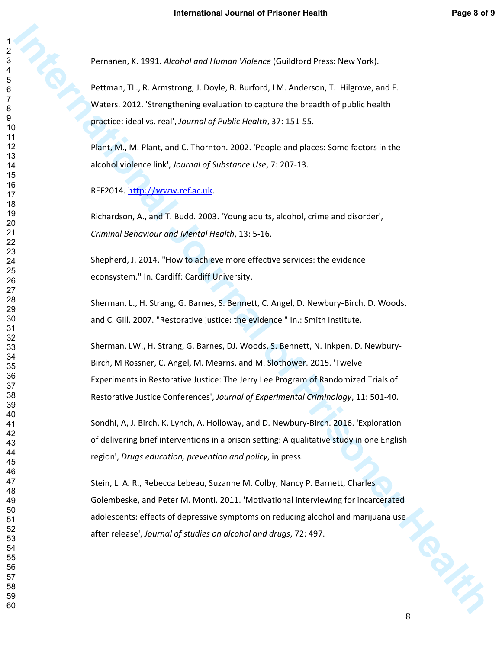Pernanen, K. 1991. *Alcohol and Human Violence* (Guildford Press: New York).

Pettman, TL., R. Armstrong, J. Doyle, B. Burford, LM. Anderson, T. Hilgrove, and E. Waters. 2012. 'Strengthening evaluation to capture the breadth of public health practice: ideal vs. real', *Journal of Public Health*, 37: 151-55.

Plant, M., M. Plant, and C. Thornton. 2002. 'People and places: Some factors in the alcohol violence link', *Journal of Substance Use*, 7: 207-13.

#### REF2014. http://www.ref.ac.uk.

Richardson, A., and T. Budd. 2003. 'Young adults, alcohol, crime and disorder', *Criminal Behaviour and Mental Health*, 13: 5-16.

Shepherd, J. 2014. "How to achieve more effective services: the evidence econsystem." In. Cardiff: Cardiff University.

Sherman, L., H. Strang, G. Barnes, S. Bennett, C. Angel, D. Newbury-Birch, D. Woods, and C. Gill. 2007. "Restorative justice: the evidence " In.: Smith Institute.

**Perramen, K. 1991. Abonito and Phonon Molecus Collistino Press. New York).**<br> **Persument T. L. A. Armstrong. L. Dospital, 100, a During China Hermiti Prisoner T. Thigrone, and C.<br>
Where, 2012. Strengthening evolution to ca** Sherman, LW., H. Strang, G. Barnes, DJ. Woods, S. Bennett, N. Inkpen, D. Newbury-Birch, M Rossner, C. Angel, M. Mearns, and M. Slothower. 2015. 'Twelve Experiments in Restorative Justice: The Jerry Lee Program of Randomized Trials of Restorative Justice Conferences', *Journal of Experimental Criminology*, 11: 501-40.

Sondhi, A, J. Birch, K. Lynch, A. Holloway, and D. Newbury-Birch. 2016. 'Exploration of delivering brief interventions in a prison setting: A qualitative study in one English region', *Drugs education, prevention and policy*, in press.

Stein, L. A. R., Rebecca Lebeau, Suzanne M. Colby, Nancy P. Barnett, Charles Golembeske, and Peter M. Monti. 2011. 'Motivational interviewing for incarcerated adolescents: effects of depressive symptoms on reducing alcohol and marijuana use after release', *Journal of studies on alcohol and drugs*, 72: 497.